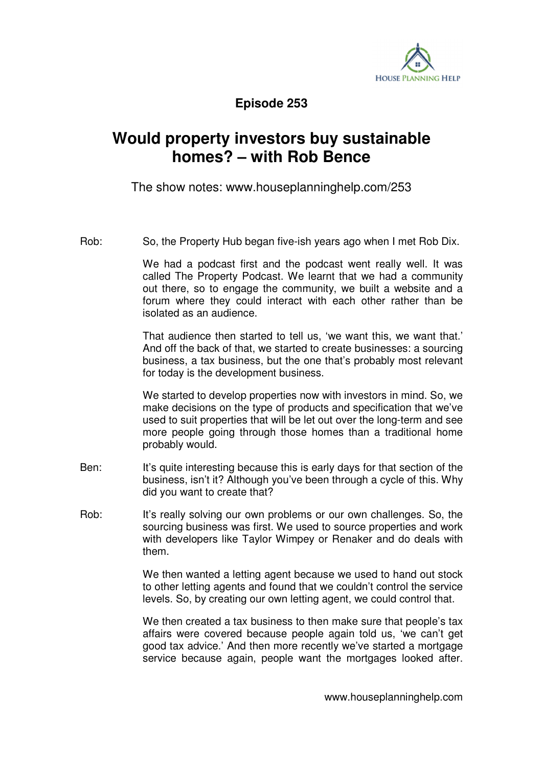

**Episode 253** 

## **Would property investors buy sustainable homes? – with Rob Bence**

The show notes: www.houseplanninghelp.com/253

Rob: So, the Property Hub began five-ish years ago when I met Rob Dix.

 We had a podcast first and the podcast went really well. It was called The Property Podcast. We learnt that we had a community out there, so to engage the community, we built a website and a forum where they could interact with each other rather than be isolated as an audience.

 That audience then started to tell us, 'we want this, we want that.' And off the back of that, we started to create businesses: a sourcing business, a tax business, but the one that's probably most relevant for today is the development business.

We started to develop properties now with investors in mind. So, we make decisions on the type of products and specification that we've used to suit properties that will be let out over the long-term and see more people going through those homes than a traditional home probably would.

- Ben: It's quite interesting because this is early days for that section of the business, isn't it? Although you've been through a cycle of this. Why did you want to create that?
- Rob: It's really solving our own problems or our own challenges. So, the sourcing business was first. We used to source properties and work with developers like Taylor Wimpey or Renaker and do deals with them.

 We then wanted a letting agent because we used to hand out stock to other letting agents and found that we couldn't control the service levels. So, by creating our own letting agent, we could control that.

 We then created a tax business to then make sure that people's tax affairs were covered because people again told us, 'we can't get good tax advice.' And then more recently we've started a mortgage service because again, people want the mortgages looked after.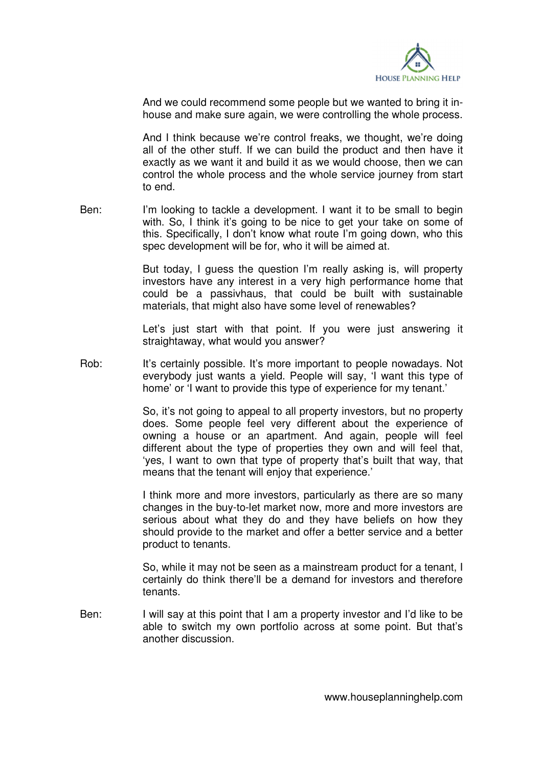

And we could recommend some people but we wanted to bring it inhouse and make sure again, we were controlling the whole process.

 And I think because we're control freaks, we thought, we're doing all of the other stuff. If we can build the product and then have it exactly as we want it and build it as we would choose, then we can control the whole process and the whole service journey from start to end.

Ben: I'm looking to tackle a development. I want it to be small to begin with. So, I think it's going to be nice to get your take on some of this. Specifically, I don't know what route I'm going down, who this spec development will be for, who it will be aimed at.

> But today, I guess the question I'm really asking is, will property investors have any interest in a very high performance home that could be a passivhaus, that could be built with sustainable materials, that might also have some level of renewables?

> Let's just start with that point. If you were just answering it straightaway, what would you answer?

Rob: It's certainly possible. It's more important to people nowadays. Not everybody just wants a yield. People will say, 'I want this type of home' or 'I want to provide this type of experience for my tenant.'

> So, it's not going to appeal to all property investors, but no property does. Some people feel very different about the experience of owning a house or an apartment. And again, people will feel different about the type of properties they own and will feel that, 'yes, I want to own that type of property that's built that way, that means that the tenant will enjoy that experience.'

> I think more and more investors, particularly as there are so many changes in the buy-to-let market now, more and more investors are serious about what they do and they have beliefs on how they should provide to the market and offer a better service and a better product to tenants.

> So, while it may not be seen as a mainstream product for a tenant, I certainly do think there'll be a demand for investors and therefore tenants.

Ben: I will say at this point that I am a property investor and I'd like to be able to switch my own portfolio across at some point. But that's another discussion.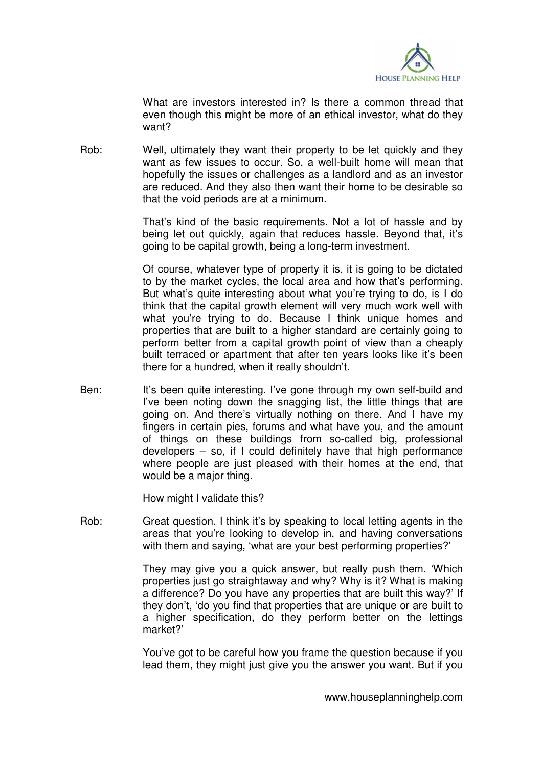

 What are investors interested in? Is there a common thread that even though this might be more of an ethical investor, what do they want?

Rob: Well, ultimately they want their property to be let quickly and they want as few issues to occur. So, a well-built home will mean that hopefully the issues or challenges as a landlord and as an investor are reduced. And they also then want their home to be desirable so that the void periods are at a minimum.

> That's kind of the basic requirements. Not a lot of hassle and by being let out quickly, again that reduces hassle. Beyond that, it's going to be capital growth, being a long-term investment.

> Of course, whatever type of property it is, it is going to be dictated to by the market cycles, the local area and how that's performing. But what's quite interesting about what you're trying to do, is I do think that the capital growth element will very much work well with what you're trying to do. Because I think unique homes and properties that are built to a higher standard are certainly going to perform better from a capital growth point of view than a cheaply built terraced or apartment that after ten years looks like it's been there for a hundred, when it really shouldn't.

Ben: It's been quite interesting. I've gone through my own self-build and I've been noting down the snagging list, the little things that are going on. And there's virtually nothing on there. And I have my fingers in certain pies, forums and what have you, and the amount of things on these buildings from so-called big, professional developers – so, if I could definitely have that high performance where people are just pleased with their homes at the end, that would be a major thing.

How might I validate this?

Rob: Great question. I think it's by speaking to local letting agents in the areas that you're looking to develop in, and having conversations with them and saying, 'what are your best performing properties?'

> They may give you a quick answer, but really push them. 'Which properties just go straightaway and why? Why is it? What is making a difference? Do you have any properties that are built this way?' If they don't, 'do you find that properties that are unique or are built to a higher specification, do they perform better on the lettings market?'

> You've got to be careful how you frame the question because if you lead them, they might just give you the answer you want. But if you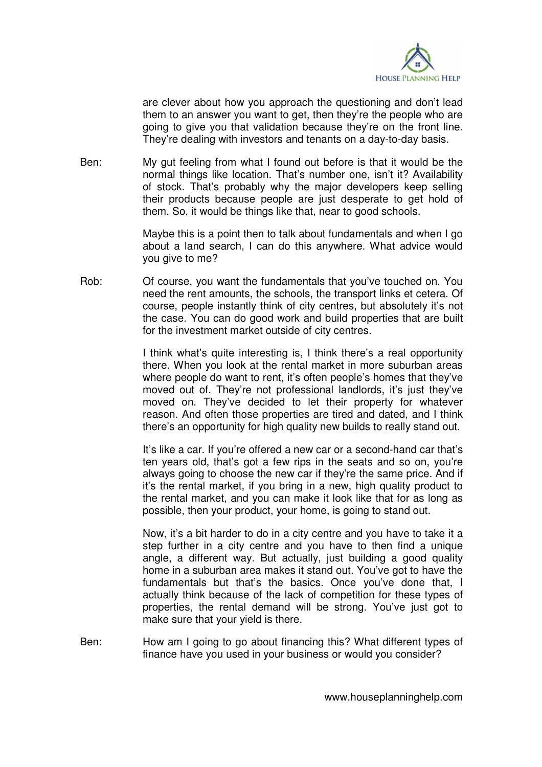

are clever about how you approach the questioning and don't lead them to an answer you want to get, then they're the people who are going to give you that validation because they're on the front line. They're dealing with investors and tenants on a day-to-day basis.

Ben: My gut feeling from what I found out before is that it would be the normal things like location. That's number one, isn't it? Availability of stock. That's probably why the major developers keep selling their products because people are just desperate to get hold of them. So, it would be things like that, near to good schools.

> Maybe this is a point then to talk about fundamentals and when I go about a land search, I can do this anywhere. What advice would you give to me?

Rob: Of course, you want the fundamentals that you've touched on. You need the rent amounts, the schools, the transport links et cetera. Of course, people instantly think of city centres, but absolutely it's not the case. You can do good work and build properties that are built for the investment market outside of city centres.

> I think what's quite interesting is, I think there's a real opportunity there. When you look at the rental market in more suburban areas where people do want to rent, it's often people's homes that they've moved out of. They're not professional landlords, it's just they've moved on. They've decided to let their property for whatever reason. And often those properties are tired and dated, and I think there's an opportunity for high quality new builds to really stand out.

> It's like a car. If you're offered a new car or a second-hand car that's ten years old, that's got a few rips in the seats and so on, you're always going to choose the new car if they're the same price. And if it's the rental market, if you bring in a new, high quality product to the rental market, and you can make it look like that for as long as possible, then your product, your home, is going to stand out.

> Now, it's a bit harder to do in a city centre and you have to take it a step further in a city centre and you have to then find a unique angle, a different way. But actually, just building a good quality home in a suburban area makes it stand out. You've got to have the fundamentals but that's the basics. Once you've done that, I actually think because of the lack of competition for these types of properties, the rental demand will be strong. You've just got to make sure that your yield is there.

Ben: How am I going to go about financing this? What different types of finance have you used in your business or would you consider?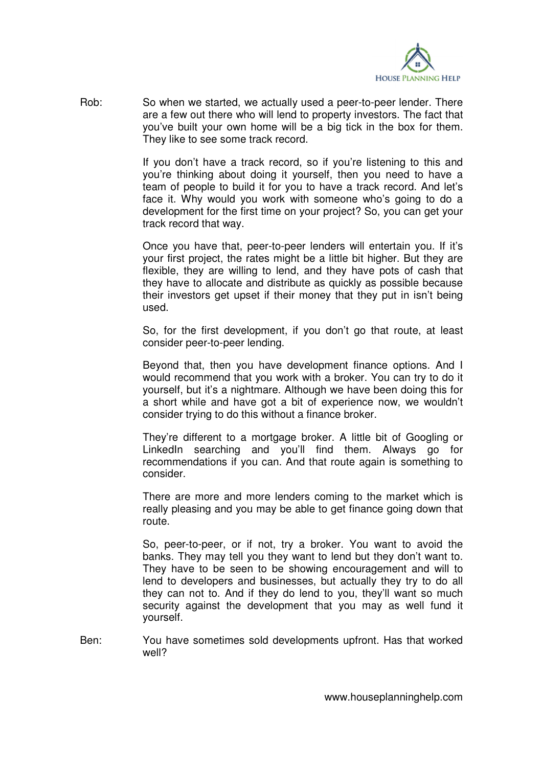

Rob: So when we started, we actually used a peer-to-peer lender. There are a few out there who will lend to property investors. The fact that you've built your own home will be a big tick in the box for them. They like to see some track record.

> If you don't have a track record, so if you're listening to this and you're thinking about doing it yourself, then you need to have a team of people to build it for you to have a track record. And let's face it. Why would you work with someone who's going to do a development for the first time on your project? So, you can get your track record that way.

> Once you have that, peer-to-peer lenders will entertain you. If it's your first project, the rates might be a little bit higher. But they are flexible, they are willing to lend, and they have pots of cash that they have to allocate and distribute as quickly as possible because their investors get upset if their money that they put in isn't being used.

> So, for the first development, if you don't go that route, at least consider peer-to-peer lending.

> Beyond that, then you have development finance options. And I would recommend that you work with a broker. You can try to do it yourself, but it's a nightmare. Although we have been doing this for a short while and have got a bit of experience now, we wouldn't consider trying to do this without a finance broker.

> They're different to a mortgage broker. A little bit of Googling or LinkedIn searching and you'll find them. Always go for recommendations if you can. And that route again is something to consider.

> There are more and more lenders coming to the market which is really pleasing and you may be able to get finance going down that route.

> So, peer-to-peer, or if not, try a broker. You want to avoid the banks. They may tell you they want to lend but they don't want to. They have to be seen to be showing encouragement and will to lend to developers and businesses, but actually they try to do all they can not to. And if they do lend to you, they'll want so much security against the development that you may as well fund it yourself.

Ben: You have sometimes sold developments upfront. Has that worked well?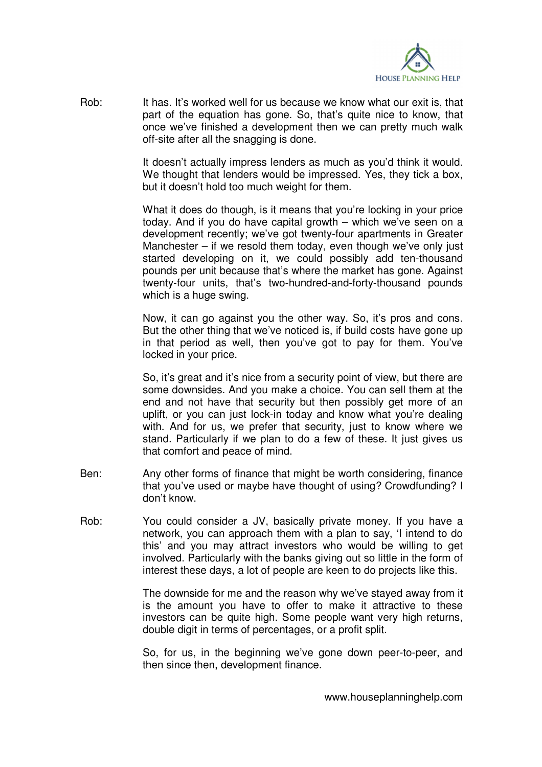

Rob: It has. It's worked well for us because we know what our exit is, that part of the equation has gone. So, that's quite nice to know, that once we've finished a development then we can pretty much walk off-site after all the snagging is done.

> It doesn't actually impress lenders as much as you'd think it would. We thought that lenders would be impressed. Yes, they tick a box, but it doesn't hold too much weight for them.

> What it does do though, is it means that you're locking in your price today. And if you do have capital growth – which we've seen on a development recently; we've got twenty-four apartments in Greater Manchester – if we resold them today, even though we've only just started developing on it, we could possibly add ten-thousand pounds per unit because that's where the market has gone. Against twenty-four units, that's two-hundred-and-forty-thousand pounds which is a huge swing.

> Now, it can go against you the other way. So, it's pros and cons. But the other thing that we've noticed is, if build costs have gone up in that period as well, then you've got to pay for them. You've locked in your price.

> So, it's great and it's nice from a security point of view, but there are some downsides. And you make a choice. You can sell them at the end and not have that security but then possibly get more of an uplift, or you can just lock-in today and know what you're dealing with. And for us, we prefer that security, just to know where we stand. Particularly if we plan to do a few of these. It just gives us that comfort and peace of mind.

- Ben: Any other forms of finance that might be worth considering, finance that you've used or maybe have thought of using? Crowdfunding? I don't know.
- Rob: You could consider a JV, basically private money. If you have a network, you can approach them with a plan to say, 'I intend to do this' and you may attract investors who would be willing to get involved. Particularly with the banks giving out so little in the form of interest these days, a lot of people are keen to do projects like this.

 The downside for me and the reason why we've stayed away from it is the amount you have to offer to make it attractive to these investors can be quite high. Some people want very high returns, double digit in terms of percentages, or a profit split.

 So, for us, in the beginning we've gone down peer-to-peer, and then since then, development finance.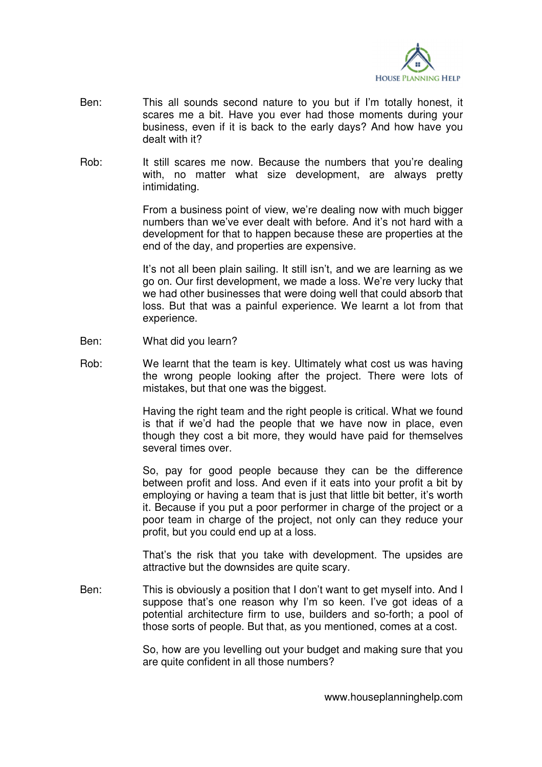

- Ben: This all sounds second nature to you but if I'm totally honest, it scares me a bit. Have you ever had those moments during your business, even if it is back to the early days? And how have you dealt with it?
- Rob: It still scares me now. Because the numbers that you're dealing with, no matter what size development, are always pretty intimidating.

 From a business point of view, we're dealing now with much bigger numbers than we've ever dealt with before. And it's not hard with a development for that to happen because these are properties at the end of the day, and properties are expensive.

 It's not all been plain sailing. It still isn't, and we are learning as we go on. Our first development, we made a loss. We're very lucky that we had other businesses that were doing well that could absorb that loss. But that was a painful experience. We learnt a lot from that experience.

- Ben: What did you learn?
- Rob: We learnt that the team is key. Ultimately what cost us was having the wrong people looking after the project. There were lots of mistakes, but that one was the biggest.

Having the right team and the right people is critical. What we found is that if we'd had the people that we have now in place, even though they cost a bit more, they would have paid for themselves several times over.

 So, pay for good people because they can be the difference between profit and loss. And even if it eats into your profit a bit by employing or having a team that is just that little bit better, it's worth it. Because if you put a poor performer in charge of the project or a poor team in charge of the project, not only can they reduce your profit, but you could end up at a loss.

 That's the risk that you take with development. The upsides are attractive but the downsides are quite scary.

Ben: This is obviously a position that I don't want to get myself into. And I suppose that's one reason why I'm so keen. I've got ideas of a potential architecture firm to use, builders and so-forth; a pool of those sorts of people. But that, as you mentioned, comes at a cost.

> So, how are you levelling out your budget and making sure that you are quite confident in all those numbers?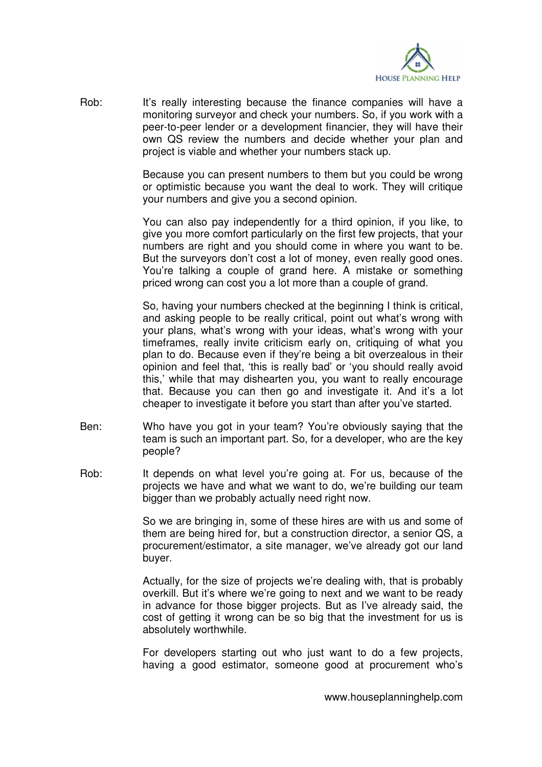

Rob: It's really interesting because the finance companies will have a monitoring surveyor and check your numbers. So, if you work with a peer-to-peer lender or a development financier, they will have their own QS review the numbers and decide whether your plan and project is viable and whether your numbers stack up.

> Because you can present numbers to them but you could be wrong or optimistic because you want the deal to work. They will critique your numbers and give you a second opinion.

> You can also pay independently for a third opinion, if you like, to give you more comfort particularly on the first few projects, that your numbers are right and you should come in where you want to be. But the surveyors don't cost a lot of money, even really good ones. You're talking a couple of grand here. A mistake or something priced wrong can cost you a lot more than a couple of grand.

> So, having your numbers checked at the beginning I think is critical, and asking people to be really critical, point out what's wrong with your plans, what's wrong with your ideas, what's wrong with your timeframes, really invite criticism early on, critiquing of what you plan to do. Because even if they're being a bit overzealous in their opinion and feel that, 'this is really bad' or 'you should really avoid this,' while that may dishearten you, you want to really encourage that. Because you can then go and investigate it. And it's a lot cheaper to investigate it before you start than after you've started.

- Ben: Who have you got in your team? You're obviously saying that the team is such an important part. So, for a developer, who are the key people?
- Rob: It depends on what level you're going at. For us, because of the projects we have and what we want to do, we're building our team bigger than we probably actually need right now.

 So we are bringing in, some of these hires are with us and some of them are being hired for, but a construction director, a senior QS, a procurement/estimator, a site manager, we've already got our land buyer.

 Actually, for the size of projects we're dealing with, that is probably overkill. But it's where we're going to next and we want to be ready in advance for those bigger projects. But as I've already said, the cost of getting it wrong can be so big that the investment for us is absolutely worthwhile.

 For developers starting out who just want to do a few projects, having a good estimator, someone good at procurement who's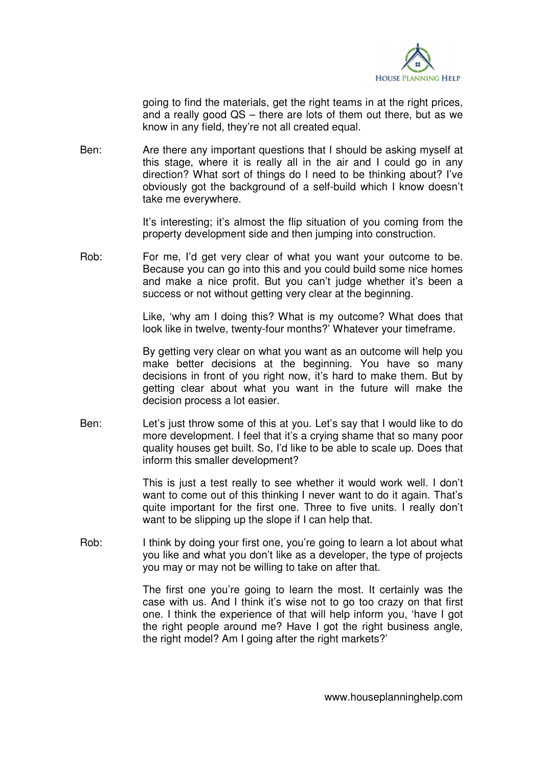

going to find the materials, get the right teams in at the right prices, and a really good QS – there are lots of them out there, but as we know in any field, they're not all created equal.

Ben: Are there any important questions that I should be asking myself at this stage, where it is really all in the air and I could go in any direction? What sort of things do I need to be thinking about? I've obviously got the background of a self-build which I know doesn't take me everywhere.

> It's interesting; it's almost the flip situation of you coming from the property development side and then jumping into construction.

Rob: For me, I'd get very clear of what you want your outcome to be. Because you can go into this and you could build some nice homes and make a nice profit. But you can't judge whether it's been a success or not without getting very clear at the beginning.

> Like, 'why am I doing this? What is my outcome? What does that look like in twelve, twenty-four months?' Whatever your timeframe.

> By getting very clear on what you want as an outcome will help you make better decisions at the beginning. You have so many decisions in front of you right now, it's hard to make them. But by getting clear about what you want in the future will make the decision process a lot easier.

Ben: Let's just throw some of this at you. Let's say that I would like to do more development. I feel that it's a crying shame that so many poor quality houses get built. So, I'd like to be able to scale up. Does that inform this smaller development?

> This is just a test really to see whether it would work well. I don't want to come out of this thinking I never want to do it again. That's quite important for the first one. Three to five units. I really don't want to be slipping up the slope if I can help that.

Rob: I think by doing your first one, you're going to learn a lot about what you like and what you don't like as a developer, the type of projects you may or may not be willing to take on after that.

> The first one you're going to learn the most. It certainly was the case with us. And I think it's wise not to go too crazy on that first one. I think the experience of that will help inform you, 'have I got the right people around me? Have I got the right business angle, the right model? Am I going after the right markets?'